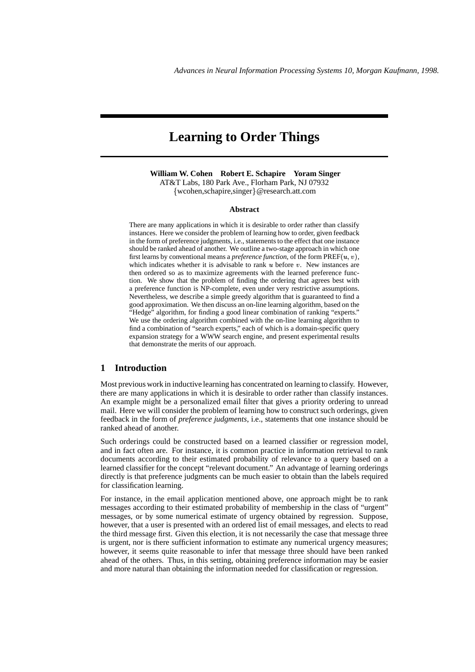# **Learning to Order Things**

**William W. Cohen Robert E. Schapire Yoram Singer** AT&T Labs, 180 Park Ave., Florham Park, NJ 07932 {wcohen,schapire,singer}@research.att.com

#### **Abstract**

There are many applications in which it is desirable to order rather than classify instances. Here we consider the problem of learning how to order, given feedback in the form of preference judgments, i.e., statements to the effect that one instance should be ranked ahead of another. We outline a two-stage approach in which one first learns by conventional means a *preference function*, of the form  $PREF(u, v)$ , which indicates whether it is advisable to rank  $u$  before  $v$ . New instances are then ordered so as to maximize agreements with the learned preference function. We show that the problem of finding the ordering that agrees best with a preference function is NP-complete, even under very restrictive assumptions. Nevertheless, we describe a simple greedy algorithm that is guaranteed to find a good approximation. We then discuss an on-line learning algorithm, based on the "Hedge" algorithm, for finding a good linear combination of ranking "experts." We use the ordering algorithm combined with the on-line learning algorithm to find a combination of "search experts," each of which is a domain-specific query expansion strategy for a WWW search engine, and present experimental results that demonstrate the merits of our approach.

### **1 Introduction**

Most previous work in inductive learning has concentrated on learning to classify. However, there are many applications in which it is desirable to order rather than classify instances. An example might be a personalized email filter that gives a priority ordering to unread mail. Here we will consider the problem of learning how to construct such orderings, given feedback in the form of *preference judgments*, i.e., statements that one instance should be ranked ahead of another.

Such orderings could be constructed based on a learned classifier or regression model, and in fact often are. For instance, it is common practice in information retrieval to rank documents according to their estimated probability of relevance to a query based on a learned classifier for the concept "relevant document." An advantage of learning orderings directly is that preference judgments can be much easier to obtain than the labels required for classification learning.

For instance, in the email application mentioned above, one approach might be to rank messages according to their estimated probability of membership in the class of "urgent" messages, or by some numerical estimate of urgency obtained by regression. Suppose, however, that a user is presented with an ordered list of email messages, and elects to read the third message first. Given this election, it is not necessarily the case that message three is urgent, nor is there sufficient information to estimate any numerical urgency measures; however, it seems quite reasonable to infer that message three should have been ranked ahead of the others. Thus, in this setting, obtaining preference information may be easier and more natural than obtaining the information needed for classification or regression.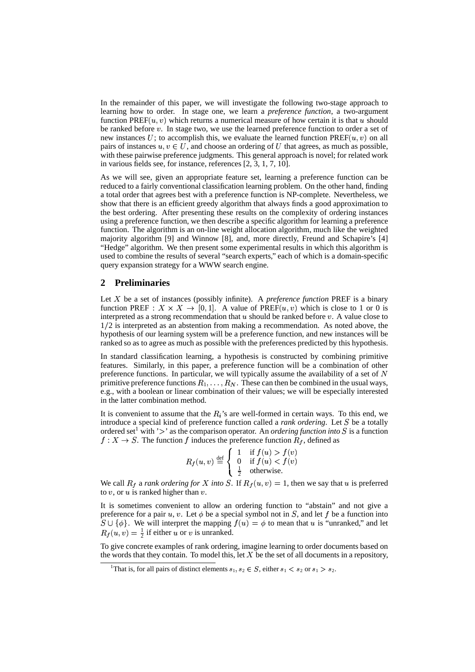In the remainder of this paper, we will investigate the following two-stage approach to learning how to order. In stage one, we learn a *preference function*, a two-argument function  $PREF(u, v)$  which returns a numerical measure of how certain it is that u should be ranked before  $v$ . In stage two, we use the learned preference function to order a set of new instances U; to accomplish this, we evaluate the learned function  $PREF(u, v)$  on all pairs of instances  $u, v \in U$ , and choose an ordering of U that agrees, as much as possible, with these pairwise preference judgments. This general approach is novel; for related work in various fields see, for instance, references [2, 3, 1, 7, 10].

As we will see, given an appropriate feature set, learning a preference function can be reduced to a fairly conventional classification learning problem. On the other hand, finding a total order that agrees best with a preference function is NP-complete. Nevertheless, we show that there is an efficient greedy algorithm that always finds a good approximation to the best ordering. After presenting these results on the complexity of ordering instances using a preference function, we then describe a specific algorithm for learning a preference function. The algorithm is an on-line weight allocation algorithm, much like the weighted majority algorithm [9] and Winnow [8], and, more directly, Freund and Schapire's [4] "Hedge" algorithm. We then present some experimental results in which this algorithm is used to combine the results of several "search experts," each of which is a domain-specific query expansion strategy for a WWW search engine.

## **2 Preliminaries**

Let  $X$  be a set of instances (possibly infinite). A *preference function* PREF is a binary function PREF :  $X \times X \rightarrow [0,1]$ . A value of PREF $(u, v)$  which is close to 1 or 0 is interpreted as a strong recommendation that  $u$  should be ranked before  $v$ . A value close to  $1/2$  is interpreted as an abstention from making a recommendation. As noted above, the hypothesis of our learning system will be a preference function, and new instances will be ranked so as to agree as much as possible with the preferences predicted by this hypothesis.

In standard classification learning, a hypothesis is constructed by combining primitive features. Similarly, in this paper, a preference function will be a combination of other preference functions. In particular, we will typically assume the availability of a set of  $N$ primitive preference functions  $R_1, \ldots, R_N$ . These can then be combined in the usual ways, e.g., with a boolean or linear combination of their values; we will be especially interested in the latter combination method.

It is convenient to assume that the  $R_i$ 's are well-formed in certain ways. To this end, we introduce a special kind of preference function called a *rank ordering*. Let S be a totally ordered set<sup>1</sup> with '>' as the comparison operator. An *ordering function into*  $S$  is a function  $f: X \to S$ . The function f induces the preference function  $R_f$ , defined as

$$
R_f(u, v) \stackrel{\text{def}}{=} \begin{cases} 1 & \text{if } f(u) > f(v) \\ 0 & \text{if } f(u) < f(v) \\ \frac{1}{2} & \text{otherwise.} \end{cases}
$$

We call  $R_f$  a *rank ordering for* X *into* S. If  $R_f(u, v) = 1$ , then we say that u is preferred to  $v$ , or  $u$  is ranked higher than  $v$ .

It is sometimes convenient to allow an ordering function to "abstain" and not give a preference for a pair u, v. Let  $\phi$  be a special symbol not in S, and let f be a function into  $S \cup \{\phi\}$ . We will interpret the mapping  $f(u) = \phi$  to mean that u is "unranked," and let  $R_f(u, v) = \frac{1}{2}$  if either u or v is unranked.

To give concrete examples of rank ordering, imagine learning to order documents based on the words that they contain. To model this, let  $X$  be the set of all documents in a repository,

<sup>&</sup>lt;sup>1</sup>That is, for all pairs of distinct elements  $s_1, s_2 \in S$ , either  $s_1 < s_2$  or  $s_1 > s_2$ .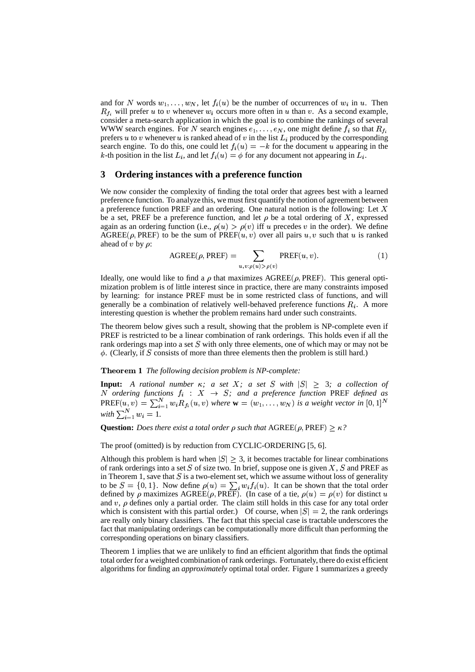and for N words  $w_1, \ldots, w_N$ , let  $f_i(u)$  be the number of occurrences of  $w_i$  in  $u$ . Then  $R_{f_i}$  will prefer u to v whenever  $w_i$  occurs more often in u than v. As a second example, consider a meta-search application in which the goal is to combine the rankings of several WWW search engines. For N search engines  $e_1, \ldots, e_N$ , one might define  $f_i$  so that  $R_{f_i}$ prefers u to v whenever u is ranked ahead of v in the list  $L_i$  produced by the corresponding search engine. To do this, one could let  $f_i(u) = -k$  for the document u appearing in the k-th position in the list  $L_i$ , and let  $f_i(u) = \phi$  for any document not appearing in  $L_i$ .

## **3 Ordering instances with a preference function**

We now consider the complexity of finding the total order that agrees best with a learned preference function. To analyze this, we mustfirst quantify the notion of agreement between a preference function PREF and an ordering. One natural notion is the following: Let  $X$ be a set, PREF be a preference function, and let  $\rho$  be a total ordering of X, expressed again as an ordering function (i.e.,  $\rho(u) > \rho(v)$  iff u precedes v in the order). We define  $AGREE(p, PREF)$  to be the sum of  $PREF(u, v)$  over all pairs u, v such that u is ranked ahead of  $v$  by  $\rho$ :

$$
\text{AGREE}(\rho, \text{PREF}) = \sum_{u, v: \rho(u) > \rho(v)} \text{PREF}(u, v). \tag{1}
$$

Ideally, one would like to find a  $\rho$  that maximizes AGREE( $\rho$ , PREF). This general optimization problem is of little interest since in practice, there are many constraints imposed by learning: for instance PREF must be in some restricted class of functions, and will generally be a combination of relatively well-behaved preference functions  $R_i$ . A more interesting question is whether the problem remains hard under such constraints.

The theorem below gives such a result, showing that the problem is NP-complete even if PREF is restricted to be a linear combination of rank orderings. This holds even if all the rank orderings map into a set  $S$  with only three elements, one of which may or may not be  $\phi$ . (Clearly, if S consists of more than three elements then the problem is still hard.)

#### **Theorem 1** The following decision problem is NP-complete:

**Input:** A rational number  $\kappa$ ; *a set*  $X$ ; *a set*  $S$  *with*  $|S| \geq 3$ ; *a collection of N* ordering functions  $f_i : X \rightarrow S$ ; and a preference function PREF defined as  $PREF(u, v) = \sum_{i=1}^{N} w_i R_{f_i}(u, v)$  where  $\mathbf{w} = (w_1, \ldots, w_N)$  is a weight vector in  $[0, 1]^N$  $with \sum_{i=1}^{N} w_i = 1.$ 

**Question:** *Does there exist a total order*  $\rho$  *such that*  $\text{AGREE}(\rho, \text{PREF}) \geq \kappa$ ?

The proof (omitted) is by reduction from CYCLIC-ORDERING [5, 6].

Although this problem is hard when  $|S| \geq 3$ , it becomes tractable for linear combinations of rank orderings into a set S of size two. In brief, suppose one is given X, S and PREF as in Theorem 1, save that  $S$  is a two-element set, which we assume without loss of generality to be  $S = \{0, 1\}$ . Now define  $\rho(u) = \sum_i w_i f_i(u)$ . It can be shown that the total order defined by  $\rho$  maximizes AGREE( $\rho$ , PREF). (In case of a tie,  $\rho(u) = \rho(v)$  for distinct u and  $v$ ,  $\rho$  defines only a partial order. The claim still holds in this case for any total order which is consistent with this partial order.) Of course, when  $|S| = 2$ , the rank orderings are really only binary classifiers. The fact that this special case is tractable underscores the fact that manipulating orderings can be computationally more difficult than performing the corresponding operations on binary classifiers.

Theorem 1 implies that we are unlikely to find an efficient algorithm that finds the optimal total order for a weighted combination of rank orderings. Fortunately,there do exist efficient algorithms for finding an *approximately* optimal total order. Figure 1 summarizes a greedy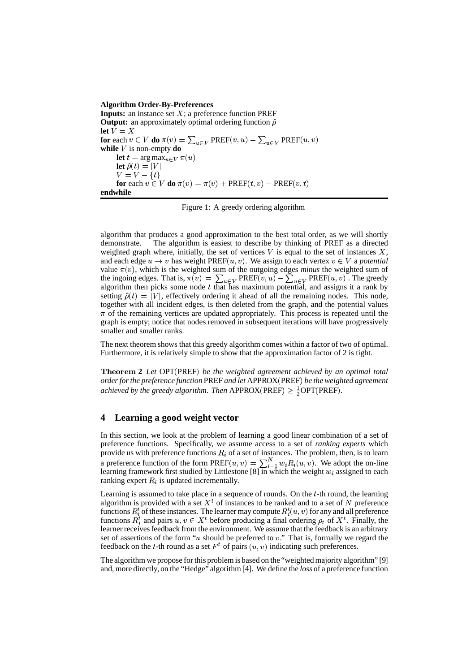#### **Algorithm Order-By-Preferences**

**Inputs:** an instance set  $X$ ; a preference function PREF **Output:** an approximately optimal ordering function  $\hat{\rho}$ **let**  $V = X$ **for** each  $v \in V$  **do**  $\pi(v) = \sum_{u \in V} \text{PREF}(v, u) - \sum_{u \in V} \text{PREF}(u, v)$ **while**  $V$  is non-empty **do let**  $t = \argmax_{u \in V} \pi(u)$ **let**  $\hat{\rho}(t) = |V|$  $V=V-\{t\}$ **for** each  $v \in V$  **do**  $\pi(v) = \pi(v) + \text{PREF}(t, v) - \text{PREF}(v, t)$ **endwhile**

Figure 1: A greedy ordering algorithm

algorithm that produces a good approximation to the best total order, as we will shortly demonstrate. The algorithm is easiest to describe by thinking of PREF as a directed weighted graph where, initially, the set of vertices  $V$  is equal to the set of instances  $X$ , and each edge  $u \to v$  has weight PREF( $u, v$ ). We assign to each vertex  $v \in V$  a *potential* value  $\pi(v)$ , which is the weighted sum of the outgoing edges *minus* the weighted sum of the ingoing edges. That is,  $\pi(v) = \sum_{u \in V} PREF(v, u) - \sum_{u \in V} PREF(u, v)$ . The greedy algorithm then picks some node  $t$  that has maximum potential, and assigns it a rank by setting  $\hat{\rho}(t) = |V|$ , effectively ordering it ahead of all the remaining nodes. This node, together with all incident edges, is then deleted from the graph, and the potential values  $\pi$  of the remaining vertices are updated appropriately. This process is repeated until the graph is empty; notice that nodes removed in subsequent iterations will have progressively smaller and smaller ranks.

The next theorem shows that this greedy algorithm comes within a factor of two of optimal. Furthermore, it is relatively simple to show that the approximation factor of 2 is tight.

**Theorem 2** Let OPT (PREF) be the weighted agreement achieved by an optimal total *orderforthe preference function*PREF*and let* APPROX PREF *be the weighted agreement achieved by the greedy algorithm. Then*  $APPROX(PREF) \geq \frac{1}{2}OPT(PREF)$ .

## **4 Learning a good weight vector**

In this section, we look at the problem of learning a good linear combination of a set of preference functions. Specifically, we assume access to a set of *ranking experts* which provide us with preference functions  $R_i$  of a set of instances. The problem, then, is to learn a preference function of the form  $PREF(u, v) = \sum_{i=1}^{N} w_i R_i(u, v)$ . We adopt the on-line learning framework first studied by Littlestone [8] in which the weight  $w_i$  assigned to each ranking expert  $R_i$  is updated incrementally.

Learning is assumed to take place in a sequence of rounds. On the  $t$ -th round, the learning algorithm is provided with a set  $X<sup>t</sup>$  of instances to be ranked and to a set of N preference functions  $R_i^t$  of these instances. The learner may compute  $R_i^t(u, v)$  for any and all preference functions  $R_i^t$  and pairs  $u, v \in X^t$  before producing a final ordering  $\rho_t$  of  $X^t$ . Finally, the learner receives feedback from the environment. We assume that the feedback is an arbitrary set of assertions of the form " $u$  should be preferred to  $v$ ." That is, formally we regard the feedback on the t-th round as a set  $F<sup>t</sup>$  of pairs  $(u, v)$  indicating such preferences.

The algorithm we propose forthis problem is based on the "weightedmajority algorithm" [9] and, more directly, on the "Hedge" algorithm[4]. We define the *loss* of a preference function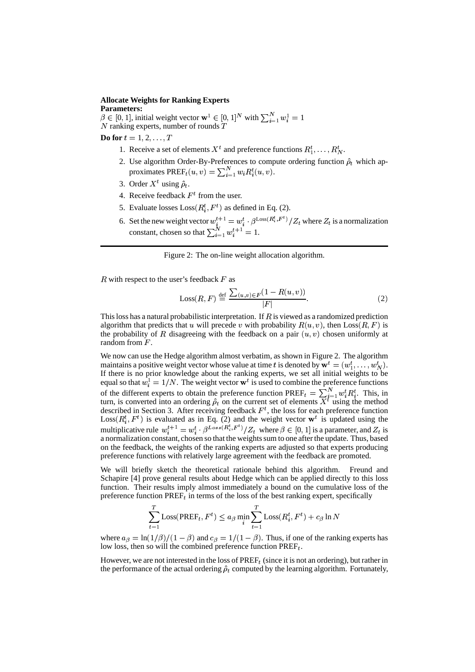## **Allocate Weights for Ranking Experts**

**Parameters:**  $\beta \in [0, 1]$ , initial weight vector  $\mathbf{w}^1 \in [0, 1]^N$  with  $\sum_{i=1}^N w_i^1 = 1$  $N$  ranking experts, number of rounds  $T$ 

**Do** for  $t = 1, 2, \ldots, T$ 

- 1. Receive a set of elements  $X^t$  and preference functions  $R_1^t, \ldots, R_N^t$ .
- 2. Use algorithm Order-By-Preferences to compute ordering function  $\hat{\rho}_t$  which approximates  $\text{PREF}_{t}(u, v) = \sum_{i=1}^{N} w_{i} R_{i}^{t}(u, v)$ .
- 3. Order  $X^t$  using  $\hat{\rho}_t$ .
- 4. Receive feedback  $F<sup>t</sup>$  from the user.
- 5. Evaluate losses  $Loss(R_i^t, F^t)$  as defined in Eq. (2).
- 6. Set the new weight vector  $w_i^{t+1} = w_i^t \cdot \beta^{\text{Loss}(R_i^t, F^t)} / Z_t$  where  $Z_t$  is a normalization constant, chosen so that  $\sum_{i=1}^{N} w_i^{t+1} = 1$ .

Figure 2: The on-line weight allocation algorithm.

 $R$  with respect to the user's feedback  $F$  as

$$
\text{Loss}(R, F) \stackrel{\text{def}}{=} \frac{\sum_{(u,v)\in F} (1 - R(u, v))}{|F|}.
$$
 (2)

This loss has a natural probabilistic interpretation. If  $\overline{R}$  is viewed as a randomized prediction algorithm that predicts that u will precede v with probability  $R(u, v)$ , then  $\text{Loss}(R, F)$  is the probability of R disagreeing with the feedback on a pair  $(u, v)$  chosen uniformly at random from  $F$ .

We now can use the Hedge algorithm almost verbatim, as shown in Figure 2. The algorithm maintains a positive weight vector whose value at time t is denoted by  $\mathbf{w}^t = (w_1^t, \dots, w_N^t)$ . If there is no prior knowledge about the ranking experts, we set all initial weights to be equal so that  $w_i^1 = 1/N$ . The weight vector  $\mathbf{w}^t$  is used to combine the preference functions of the different experts to obtain the preference function  $\text{PREF}_{t} = \sum_{i=1}^{N} w_{i}^{t} R_{i}^{t}$ . This, in turn, is converted into an ordering  $\hat{\rho}_t$  on the current set of elements  $X^t$  using the method described in Section 3. After receiving feedback  $F<sup>t</sup>$ , the loss for each preference function  $Loss(R_i^t, F^t)$  is evaluated as in Eq. (2) and the weight vector  $\mathbf{w}^t$  is updated using the multiplicative rule  $w_i^{t+1} = w_i^t \cdot \beta^{Loss(R_i^t, F^t)} / Z_t$  where  $\beta \in [0, 1]$  is a parameter, and  $Z_t$  is a normalization constant, chosen so that the weights sum to one after the update. Thus, based on the feedback, the weights of the ranking experts are adjusted so that experts producing preference functions with relatively large agreement with the feedback are promoted.

We will briefly sketch the theoretical rationale behind this algorithm. Freund and Schapire [4] prove general results about Hedge which can be applied directly to this loss function. Their results imply almost immediately a bound on the cumulative loss of the preference function PREF<sub>t</sub> in terms of the loss of the best ranking expert, specifically

$$
\sum_{t=1}^{T} \text{Loss}(\text{PREF}_{t}, F^{t}) \le a_{\beta} \min_{i} \sum_{t=1}^{T} \text{Loss}(R_{i}^{t}, F^{t}) + c_{\beta} \ln N
$$

where  $a_{\beta} = \ln(1/\beta)/(1-\beta)$  and  $c_{\beta} = 1/(1-\beta)$ . Thus, if one of the ranking experts has low loss, then so will the combined preference function  $\text{PREF}_{t}$ .

However, we are not interested in the loss of  $\text{PREF}_{t}$  (since it is not an ordering), but rather in the performance of the actual ordering  $\hat{\rho}_t$  computed by the learning algorithm. Fortunately,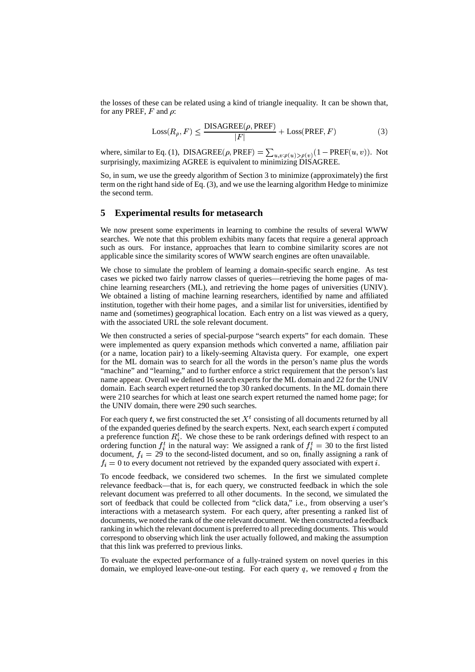the losses of these can be related using a kind of triangle inequality. It can be shown that, for any PREF,  $F$  and  $\rho$ :

$$
Loss(R_{\rho}, F) \leq \frac{DISAGREE(\rho, PREF)}{|F|} + Loss(PREF, F)
$$
 (3)

where, similar to Eq. (1), DISAGREE( $\rho$ , PREF) =  $\sum_{u,v:\rho(u) > \rho(v)} (1 - \text{PREF}(u,v))$ . Not surprisingly, maximizing AGREE is equivalent to minimizing DISAGREE.

So, in sum, we use the greedy algorithm of Section 3 to minimize (approximately) the first term on the right hand side of Eq. (3), and we use the learning algorithm Hedge to minimize the second term.

## **5 Experimental results for metasearch**

We now present some experiments in learning to combine the results of several WWW searches. We note that this problem exhibits many facets that require a general approach such as ours. For instance, approaches that learn to combine similarity scores are not applicable since the similarity scores of WWW search engines are often unavailable.

We chose to simulate the problem of learning a domain-specific search engine. As test cases we picked two fairly narrow classes of queries—retrieving the home pages of machine learning researchers (ML), and retrieving the home pages of universities (UNIV). We obtained a listing of machine learning researchers, identified by name and affiliated institution, together with their home pages, and a similar list for universities, identified by name and (sometimes) geographical location. Each entry on a list was viewed as a query, with the associated URL the sole relevant document.

We then constructed a series of special-purpose "search experts" for each domain. These were implemented as query expansion methods which converted a name, affiliation pair (or a name, location pair) to a likely-seeming Altavista query. For example, one expert for the ML domain was to search for all the words in the person's name plus the words "machine" and "learning," and to further enforce a strict requirement that the person's last name appear. Overall we defined 16 search experts for the ML domain and 22 for the UNIV domain. Each search expert returned the top 30 ranked documents. In the ML domain there were 210 searches for which at least one search expert returned the named home page; for the UNIV domain, there were 290 such searches.

For each query t, we first constructed the set  $X<sup>t</sup>$  consisting of all documents returned by all of the expanded queries defined by the search experts. Next, each search expert  $i$  computed a preference function  $R_i^t$ . We chose these to be rank orderings defined with respect to an ordering function  $f_i^t$  in the natural way: We assigned a rank of  $f_i^t = 30$  to the first listed document,  $f_i = 29$  to the second-listed document, and so on, finally assigning a rank of  $f_i = 0$  to every document not retrieved by the expanded query associated with expert i.

To encode feedback, we considered two schemes. In the first we simulated complete relevance feedback—that is, for each query, we constructed feedback in which the sole relevant document was preferred to all other documents. In the second, we simulated the sort of feedback that could be collected from "click data," i.e., from observing a user's interactions with a metasearch system. For each query, after presenting a ranked list of documents, we noted the rank of the one relevant document. We then constructed a feedback ranking in which the relevant documentis preferred to all preceding documents. This would correspond to observing which link the user actually followed, and making the assumption that this link was preferred to previous links.

To evaluate the expected performance of a fully-trained system on novel queries in this domain, we employed leave-one-out testing. For each query  $q$ , we removed  $q$  from the